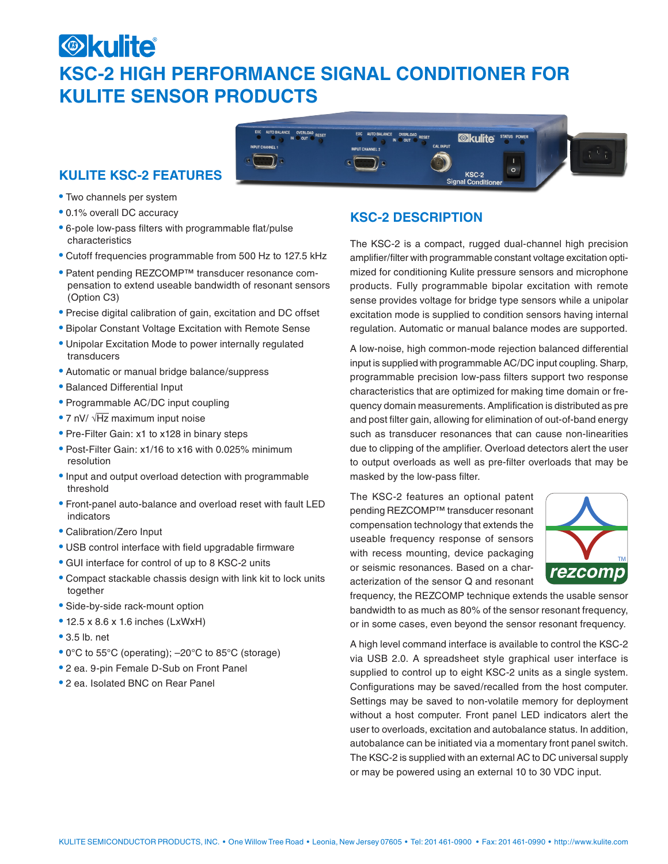# **Okulite KSC-2 HIGH PERFORMANCE SIGNAL CONDITIONER FOR KULITE SENSOR PRODUCTS**



- Two channels per system
- 0.1% overall DC accuracy
- 6-pole low-pass filters with programmable flat/pulse characteristics
- Cutoff frequencies programmable from 500 Hz to 127.5 kHz
- Patent pending REZCOMP™ transducer resonance compensation to extend useable bandwidth of resonant sensors (Option C3)
- Precise digital calibration of gain, excitation and DC offset
- Bipolar Constant Voltage Excitation with Remote Sense
- Unipolar Excitation Mode to power internally regulated transducers
- Automatic or manual bridge balance/suppress
- Balanced Differential Input
- Programmable AC/DC input coupling
- 7 nV/ √Hz maximum input noise
- Pre-Filter Gain: x1 to x128 in binary steps
- Post-Filter Gain: x1/16 to x16 with 0.025% minimum resolution
- Input and output overload detection with programmable threshold
- Front-panel auto-balance and overload reset with fault LED indicators
- Calibration/Zero Input
- USB control interface with field upgradable firmware
- GUI interface for control of up to 8 KSC-2 units
- Compact stackable chassis design with link kit to lock units together
- Side-by-side rack-mount option
- 12.5 x 8.6 x 1.6 inches (LxWxH)
- 3.5 lb. net
- 0°C to 55°C (operating); –20°C to 85°C (storage)
- 2 ea. 9-pin Female D-Sub on Front Panel
- 2 ea. Isolated BNC on Rear Panel

## **KSC-2 DESCRIPTION**

AUTO BALANCE

The KSC-2 is a compact, rugged dual-channel high precision amplifier/filter with programmable constant voltage excitation optimized for conditioning Kulite pressure sensors and microphone products. Fully programmable bipolar excitation with remote sense provides voltage for bridge type sensors while a unipolar excitation mode is supplied to condition sensors having internal regulation. Automatic or manual balance modes are supported.

**Økulite** 

KSC-2<br>Signal Conditior

**CAL INPIT** 

A low-noise, high common-mode rejection balanced differential input is supplied with programmable AC/DC input coupling. Sharp, programmable precision low-pass filters support two response characteristics that are optimized for making time domain or frequency domain measurements. Amplification is distributed as pre and post filter gain, allowing for elimination of out-of-band energy such as transducer resonances that can cause non-linearities due to clipping of the amplifier. Overload detectors alert the user to output overloads as well as pre-filter overloads that may be masked by the low-pass filter.

The KSC-2 features an optional patent pending REZCOMP™ transducer resonant compensation technology that extends the useable frequency response of sensors with recess mounting, device packaging or seismic resonances. Based on a characterization of the sensor Q and resonant



frequency, the REZCOMP technique extends the usable sensor bandwidth to as much as 80% of the sensor resonant frequency, or in some cases, even beyond the sensor resonant frequency.

A high level command interface is available to control the KSC-2 via USB 2.0. A spreadsheet style graphical user interface is supplied to control up to eight KSC-2 units as a single system. Configurations may be saved/recalled from the host computer. Settings may be saved to non-volatile memory for deployment without a host computer. Front panel LED indicators alert the user to overloads, excitation and autobalance status. In addition, autobalance can be initiated via a momentary front panel switch. The KSC-2 is supplied with an external AC to DC universal supply or may be powered using an external 10 to 30 VDC input.